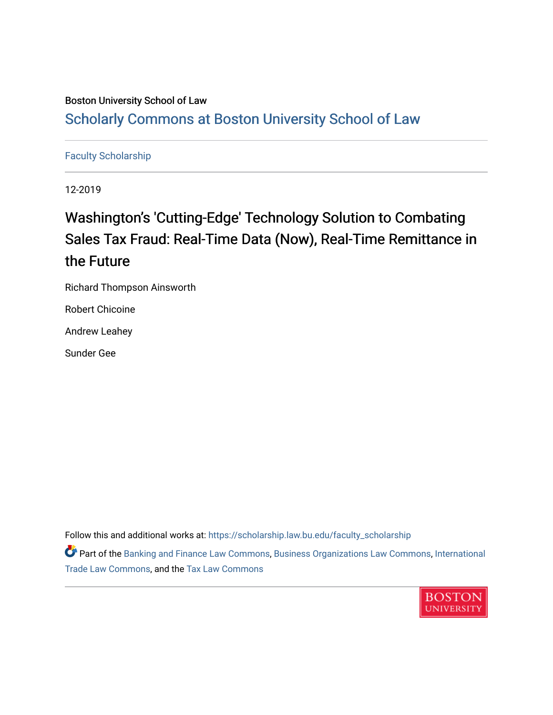# Boston University School of Law [Scholarly Commons at Boston University School of Law](https://scholarship.law.bu.edu/)

# [Faculty Scholarship](https://scholarship.law.bu.edu/faculty_scholarship)

12-2019

# Washington's 'Cutting-Edge' Technology Solution to Combating Sales Tax Fraud: Real-Time Data (Now), Real-Time Remittance in the Future

Richard Thompson Ainsworth

Robert Chicoine

Andrew Leahey

Sunder Gee

Follow this and additional works at: [https://scholarship.law.bu.edu/faculty\\_scholarship](https://scholarship.law.bu.edu/faculty_scholarship?utm_source=scholarship.law.bu.edu%2Ffaculty_scholarship%2F1403&utm_medium=PDF&utm_campaign=PDFCoverPages)

Part of the [Banking and Finance Law Commons,](http://network.bepress.com/hgg/discipline/833?utm_source=scholarship.law.bu.edu%2Ffaculty_scholarship%2F1403&utm_medium=PDF&utm_campaign=PDFCoverPages) [Business Organizations Law Commons](http://network.bepress.com/hgg/discipline/900?utm_source=scholarship.law.bu.edu%2Ffaculty_scholarship%2F1403&utm_medium=PDF&utm_campaign=PDFCoverPages), [International](http://network.bepress.com/hgg/discipline/848?utm_source=scholarship.law.bu.edu%2Ffaculty_scholarship%2F1403&utm_medium=PDF&utm_campaign=PDFCoverPages)  [Trade Law Commons,](http://network.bepress.com/hgg/discipline/848?utm_source=scholarship.law.bu.edu%2Ffaculty_scholarship%2F1403&utm_medium=PDF&utm_campaign=PDFCoverPages) and the [Tax Law Commons](http://network.bepress.com/hgg/discipline/898?utm_source=scholarship.law.bu.edu%2Ffaculty_scholarship%2F1403&utm_medium=PDF&utm_campaign=PDFCoverPages) 

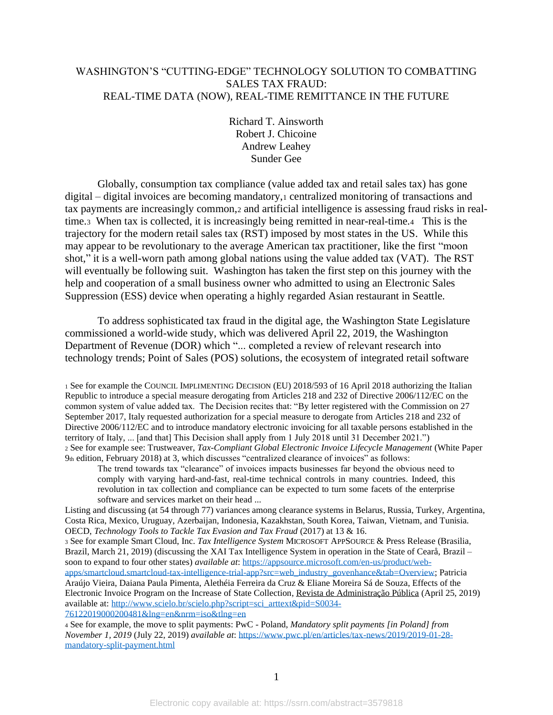## WASHINGTON'S "CUTTING-EDGE" TECHNOLOGY SOLUTION TO COMBATTING SALES TAX FRAUD: REAL-TIME DATA (NOW), REAL-TIME REMITTANCE IN THE FUTURE

Richard T. Ainsworth Robert J. Chicoine Andrew Leahey Sunder Gee

Globally, consumption tax compliance (value added tax and retail sales tax) has gone digital – digital invoices are becoming mandatory,<sup>1</sup> centralized monitoring of transactions and tax payments are increasingly common,<sup>2</sup> and artificial intelligence is assessing fraud risks in realtime.3 When tax is collected, it is increasingly being remitted in near-real-time.4 This is the trajectory for the modern retail sales tax (RST) imposed by most states in the US. While this may appear to be revolutionary to the average American tax practitioner, like the first "moon shot," it is a well-worn path among global nations using the value added tax (VAT). The RST will eventually be following suit. Washington has taken the first step on this journey with the help and cooperation of a small business owner who admitted to using an Electronic Sales Suppression (ESS) device when operating a highly regarded Asian restaurant in Seattle.

To address sophisticated tax fraud in the digital age, the Washington State Legislature commissioned a world-wide study, which was delivered April 22, 2019, the Washington Department of Revenue (DOR) which "... completed a review of relevant research into technology trends; Point of Sales (POS) solutions, the ecosystem of integrated retail software

<sup>1</sup> See for example the COUNCIL IMPLIMENTING DECISION (EU) 2018/593 of 16 April 2018 authorizing the Italian Republic to introduce a special measure derogating from Articles 218 and 232 of Directive 2006/112/EC on the common system of value added tax. The Decision recites that: "By letter registered with the Commission on 27 September 2017, Italy requested authorization for a special measure to derogate from Articles 218 and 232 of Directive 2006/112/EC and to introduce mandatory electronic invoicing for all taxable persons established in the territory of Italy, ... [and that] This Decision shall apply from 1 July 2018 until 31 December 2021.") <sup>2</sup> See for example see: Trustweaver, *Tax-Compliant Global Electronic Invoice Lifecycle Management* (White Paper 9th edition, February 2018) at 3, which discusses "centralized clearance of invoices" as follows:

The trend towards tax "clearance" of invoices impacts businesses far beyond the obvious need to comply with varying hard-and-fast, real-time technical controls in many countries. Indeed, this revolution in tax collection and compliance can be expected to turn some facets of the enterprise software and services market on their head ...

Listing and discussing (at 54 through 77) variances among clearance systems in Belarus, Russia, Turkey, Argentina, Costa Rica, Mexico, Uruguay, Azerbaijan, Indonesia, Kazakhstan, South Korea, Taiwan, Vietnam, and Tunisia. OECD, *Technology Tools to Tackle Tax Evasion and Tax Fraud* (2017) at 13 & 16.

<sup>3</sup> See for example Smart Cloud, Inc. *Tax Intelligence System* MICROSOFT APPSOURCE & Press Release (Brasilia, Brazil, March 21, 2019) (discussing the XAI Tax Intelligence System in operation in the State of Cearå, Brazil – soon to expand to four other states) *available at*: [https://appsource.microsoft.com/en-us/product/web](https://appsource.microsoft.com/en-us/product/web-apps/smartcloud.smartcloud-tax-intelligence-trial-app?src=web_industry_govenhance&tab=Overview)[apps/smartcloud.smartcloud-tax-intelligence-trial-app?src=web\\_industry\\_govenhance&tab=Overview;](https://appsource.microsoft.com/en-us/product/web-apps/smartcloud.smartcloud-tax-intelligence-trial-app?src=web_industry_govenhance&tab=Overview) Patricia Araújo Vieira, Daiana Paula Pimenta, Alethéia Ferreira da Cruz & Eliane Moreira Sá de Souza, Effects of the Electronic Invoice Program on the Increase of State Collection, [Revista de Administração Pública](http://www.scielo.br/scielo.php?script=sci_serial&pid=0034-7612&lng=en&nrm=iso) (April 25, 2019) available at: [http://www.scielo.br/scielo.php?script=sci\\_arttext&pid=S0034-](http://www.scielo.br/scielo.php?script=sci_arttext&pid=S0034-76122019000200481&lng=en&nrm=iso&tlng=en) [76122019000200481&lng=en&nrm=iso&tlng=en](http://www.scielo.br/scielo.php?script=sci_arttext&pid=S0034-76122019000200481&lng=en&nrm=iso&tlng=en)

<sup>4</sup> See for example, the move to split payments: PwC - Poland, *Mandatory split payments [in Poland] from November 1, 2019* (July 22, 2019) *available at*: [https://www.pwc.pl/en/articles/tax-news/2019/2019-01-28](https://www.pwc.pl/en/articles/tax-news/2019/2019-01-28-mandatory-split-payment.html) [mandatory-split-payment.html](https://www.pwc.pl/en/articles/tax-news/2019/2019-01-28-mandatory-split-payment.html)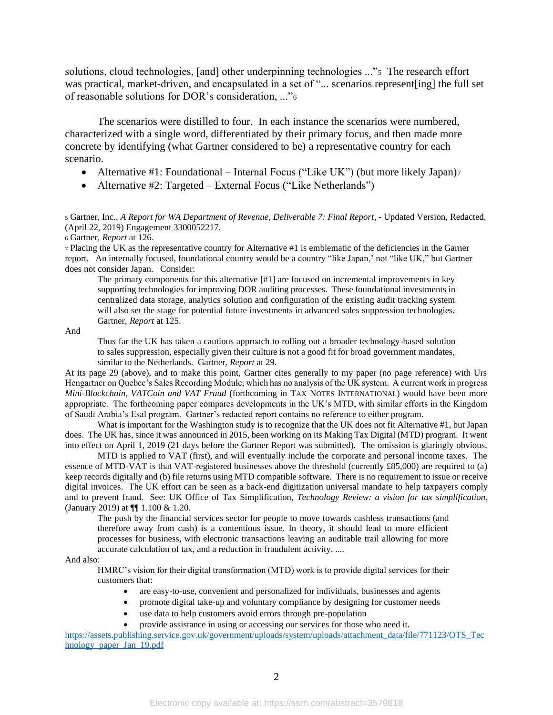solutions, cloud technologies, [and] other underpinning technologies ..."5 The research effort was practical, market-driven, and encapsulated in a set of "... scenarios represent [ing] the full set of reasonable solutions for DOR's consideration, ..."<sup>6</sup>

The scenarios were distilled to four. In each instance the scenarios were numbered, characterized with a single word, differentiated by their primary focus, and then made more concrete by identifying (what Gartner considered to be) a representative country for each scenario.

- Alternative #1: Foundational Internal Focus ("Like UK") (but more likely Japan)7
- Alternative #2: Targeted External Focus ("Like Netherlands")

<sup>5</sup> Gartner, Inc., *A Report for WA Department of Revenue, Deliverable 7: Final Report*, - Updated Version, Redacted, (April 22, 2019) Engagement 3300052217.

<sup>6</sup> Gartner, *Report* at 126.

<sup>7</sup> Placing the UK as the representative country for Alternative #1 is emblematic of the deficiencies in the Garner report. An internally focused, foundational country would be a country "like Japan,' not "like UK," but Gartner does not consider Japan. Consider:

The primary components for this alternative [#1] are focused on incremental improvements in key supporting technologies for improving DOR auditing processes. These foundational investments in centralized data storage, analytics solution and configuration of the existing audit tracking system will also set the stage for potential future investments in advanced sales suppression technologies. Gartner, *Report* at 125.

And

Thus far the UK has taken a cautious approach to rolling out a broader technology-based solution to sales suppression, especially given their culture is not a good fit for broad government mandates, similar to the Netherlands. Gartner, *Report* at 29.

At its page 29 (above), and to make this point, Gartner cites generally to my paper (no page reference) with Urs Hengartner on Quebec's Sales Recording Module, which has no analysis of the UK system. A current work in progress *Mini-Blockchain, VATCoin and VAT Fraud* (forthcoming in TAX NOTES INTERNATIONAL) would have been more appropriate. The forthcoming paper compares developments in the UK's MTD, with similar efforts in the Kingdom of Saudi Arabia's Esal program. Gartner's redacted report contains no reference to either program.

What is important for the Washington study is to recognize that the UK does not fit Alternative #1, but Japan does. The UK has, since it was announced in 2015, been working on its Making Tax Digital (MTD) program. It went into effect on April 1, 2019 (21 days before the Gartner Report was submitted). The omission is glaringly obvious.

MTD is applied to VAT (first), and will eventually include the corporate and personal income taxes. The essence of MTD-VAT is that VAT-registered businesses above the threshold (currently £85,000) are required to (a) keep records digitally and (b) file returns using MTD compatible software. There is no requirement to issue or receive digital invoices. The UK effort can be seen as a back-end digitization universal mandate to help taxpayers comply and to prevent fraud. See: UK Office of Tax Simplification, *Technology Review: a vision for tax simplification*, (January 2019) at ¶¶ 1.100 & 1.20.

The push by the financial services sector for people to move towards cashless transactions (and therefore away from cash) is a contentious issue. In theory, it should lead to more efficient processes for business, with electronic transactions leaving an auditable trail allowing for more accurate calculation of tax, and a reduction in fraudulent activity. ....

And also:

HMRC's vision for their digital transformation (MTD) work is to provide digital services for their customers that:

- are easy-to-use, convenient and personalized for individuals, businesses and agents
- promote digital take-up and voluntary compliance by designing for customer needs
- use data to help customers avoid errors through pre-population
- provide assistance in using or accessing our services for those who need it.

[https://assets.publishing.service.gov.uk/government/uploads/system/uploads/attachment\\_data/file/771123/OTS\\_Tec](https://assets.publishing.service.gov.uk/government/uploads/system/uploads/attachment_data/file/771123/OTS_Technology_paper_Jan_19.pdf) [hnology\\_paper\\_Jan\\_19.pdf](https://assets.publishing.service.gov.uk/government/uploads/system/uploads/attachment_data/file/771123/OTS_Technology_paper_Jan_19.pdf)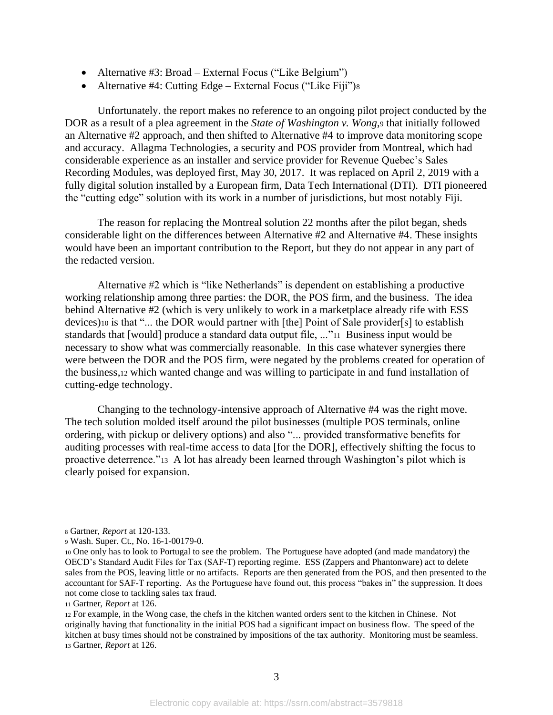- Alternative #3: Broad External Focus ("Like Belgium")
- Alternative #4: Cutting Edge External Focus ("Like Fiji")<sup>8</sup>

Unfortunately. the report makes no reference to an ongoing pilot project conducted by the DOR as a result of a plea agreement in the *State of Washington v. Wong*,<sup>9</sup> that initially followed an Alternative #2 approach, and then shifted to Alternative #4 to improve data monitoring scope and accuracy. Allagma Technologies, a security and POS provider from Montreal, which had considerable experience as an installer and service provider for Revenue Quebec's Sales Recording Modules, was deployed first, May 30, 2017. It was replaced on April 2, 2019 with a fully digital solution installed by a European firm, Data Tech International (DTI). DTI pioneered the "cutting edge" solution with its work in a number of jurisdictions, but most notably Fiji.

The reason for replacing the Montreal solution 22 months after the pilot began, sheds considerable light on the differences between Alternative #2 and Alternative #4. These insights would have been an important contribution to the Report, but they do not appear in any part of the redacted version.

Alternative #2 which is "like Netherlands" is dependent on establishing a productive working relationship among three parties: the DOR, the POS firm, and the business. The idea behind Alternative #2 (which is very unlikely to work in a marketplace already rife with ESS devices)<sup>10</sup> is that "... the DOR would partner with [the] Point of Sale provider[s] to establish standards that [would] produce a standard data output file, ..."<sup>11</sup> Business input would be necessary to show what was commercially reasonable. In this case whatever synergies there were between the DOR and the POS firm, were negated by the problems created for operation of the business,<sup>12</sup> which wanted change and was willing to participate in and fund installation of cutting-edge technology.

Changing to the technology-intensive approach of Alternative #4 was the right move. The tech solution molded itself around the pilot businesses (multiple POS terminals, online ordering, with pickup or delivery options) and also "... provided transformative benefits for auditing processes with real-time access to data [for the DOR], effectively shifting the focus to proactive deterrence."13 A lot has already been learned through Washington's pilot which is clearly poised for expansion.

<sup>12</sup> For example, in the Wong case, the chefs in the kitchen wanted orders sent to the kitchen in Chinese. Not originally having that functionality in the initial POS had a significant impact on business flow. The speed of the kitchen at busy times should not be constrained by impositions of the tax authority. Monitoring must be seamless. <sup>13</sup> Gartner, *Report* at 126.

<sup>8</sup> Gartner, *Report* at 120-133.

<sup>9</sup> Wash. Super. Ct., No. 16-1-00179-0.

<sup>10</sup> One only has to look to Portugal to see the problem. The Portuguese have adopted (and made mandatory) the OECD's Standard Audit Files for Tax (SAF-T) reporting regime. ESS (Zappers and Phantonware) act to delete sales from the POS, leaving little or no artifacts. Reports are then generated from the POS, and then presented to the accountant for SAF-T reporting. As the Portuguese have found out, this process "bakes in" the suppression. It does not come close to tackling sales tax fraud.

<sup>11</sup> Gartner, *Report* at 126.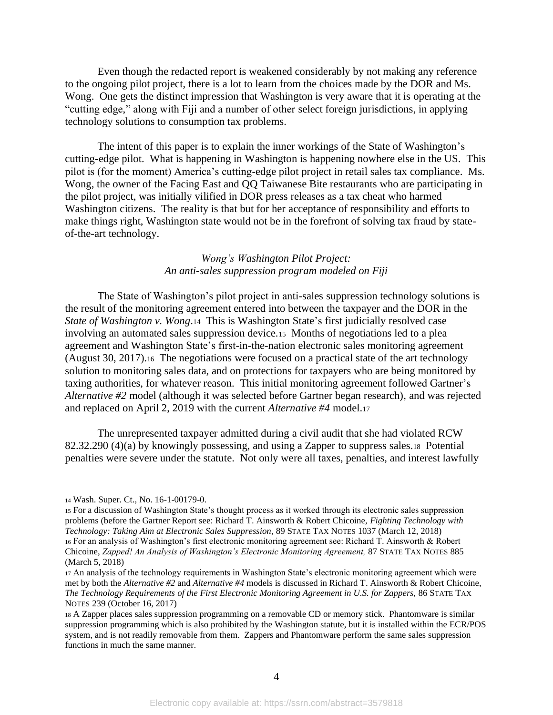Even though the redacted report is weakened considerably by not making any reference to the ongoing pilot project, there is a lot to learn from the choices made by the DOR and Ms. Wong. One gets the distinct impression that Washington is very aware that it is operating at the "cutting edge," along with Fiji and a number of other select foreign jurisdictions, in applying technology solutions to consumption tax problems.

The intent of this paper is to explain the inner workings of the State of Washington's cutting-edge pilot. What is happening in Washington is happening nowhere else in the US. This pilot is (for the moment) America's cutting-edge pilot project in retail sales tax compliance. Ms. Wong, the owner of the Facing East and QQ Taiwanese Bite restaurants who are participating in the pilot project, was initially vilified in DOR press releases as a tax cheat who harmed Washington citizens. The reality is that but for her acceptance of responsibility and efforts to make things right, Washington state would not be in the forefront of solving tax fraud by stateof-the-art technology.

### *Wong's Washington Pilot Project: An anti-sales suppression program modeled on Fiji*

The State of Washington's pilot project in anti-sales suppression technology solutions is the result of the monitoring agreement entered into between the taxpayer and the DOR in the *State of Washington v. Wong*.14 This is Washington State's first judicially resolved case involving an automated sales suppression device.15 Months of negotiations led to a plea agreement and Washington State's first-in-the-nation electronic sales monitoring agreement (August 30, 2017).16 The negotiations were focused on a practical state of the art technology solution to monitoring sales data, and on protections for taxpayers who are being monitored by taxing authorities, for whatever reason. This initial monitoring agreement followed Gartner's *Alternative #2* model (although it was selected before Gartner began research), and was rejected and replaced on April 2, 2019 with the current *Alternative #4* model.<sup>17</sup>

The unrepresented taxpayer admitted during a civil audit that she had violated RCW 82.32.290 (4)(a) by knowingly possessing, and using a Zapper to suppress sales.18 Potential penalties were severe under the statute. Not only were all taxes, penalties, and interest lawfully

<sup>14</sup> Wash. Super. Ct., No. 16-1-00179-0.

<sup>15</sup> For a discussion of Washington State's thought process as it worked through its electronic sales suppression problems (before the Gartner Report see: Richard T. Ainsworth & Robert Chicoine, *Fighting Technology with Technology: Taking Aim at Electronic Sales Suppression,* 89 STATE TAX NOTES 1037 (March 12, 2018) <sup>16</sup> For an analysis of Washington's first electronic monitoring agreement see: Richard T. Ainsworth & Robert Chicoine, *Zapped! An Analysis of Washington's Electronic Monitoring Agreement,* 87 STATE TAX NOTES 885 (March 5, 2018)

<sup>17</sup> An analysis of the technology requirements in Washington State's electronic monitoring agreement which were met by both the *Alternative #2* and *Alternative #4* models is discussed in Richard T. Ainsworth & Robert Chicoine, *The Technology Requirements of the First Electronic Monitoring Agreement in U.S. for Zappers,* 86 STATE TAX NOTES 239 (October 16, 2017)

<sup>18</sup> A Zapper places sales suppression programming on a removable CD or memory stick. Phantomware is similar suppression programming which is also prohibited by the Washington statute, but it is installed within the ECR/POS system, and is not readily removable from them. Zappers and Phantomware perform the same sales suppression functions in much the same manner.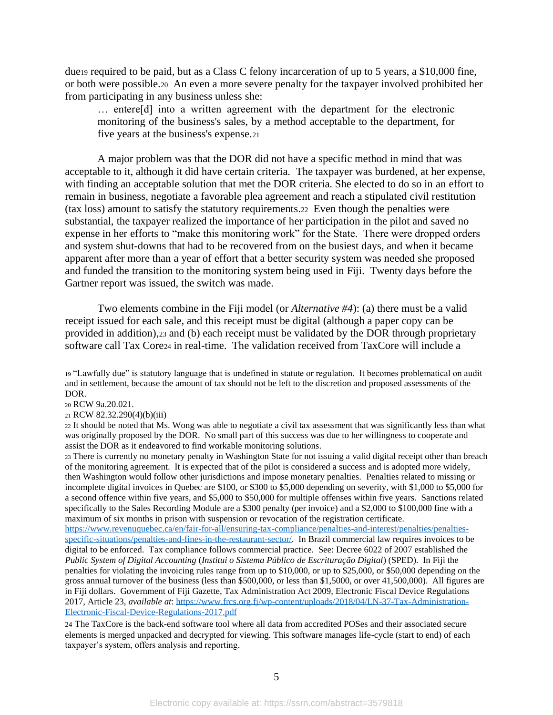due<sup>19</sup> required to be paid, but as a Class C felony incarceration of up to 5 years, a \$10,000 fine, or both were possible.20 An even a more severe penalty for the taxpayer involved prohibited her from participating in any business unless she:

… entere[d] into a written agreement with the department for the electronic monitoring of the business's sales, by a method acceptable to the department, for five years at the business's expense.<sup>21</sup>

A major problem was that the DOR did not have a specific method in mind that was acceptable to it, although it did have certain criteria. The taxpayer was burdened, at her expense, with finding an acceptable solution that met the DOR criteria. She elected to do so in an effort to remain in business, negotiate a favorable plea agreement and reach a stipulated civil restitution (tax loss) amount to satisfy the statutory requirements.<sup>22</sup> Even though the penalties were substantial, the taxpayer realized the importance of her participation in the pilot and saved no expense in her efforts to "make this monitoring work" for the State. There were dropped orders and system shut-downs that had to be recovered from on the busiest days, and when it became apparent after more than a year of effort that a better security system was needed she proposed and funded the transition to the monitoring system being used in Fiji. Twenty days before the Gartner report was issued, the switch was made.

<span id="page-5-0"></span>Two elements combine in the Fiji model (or *Alternative #4*): (a) there must be a valid receipt issued for each sale, and this receipt must be digital (although a paper copy can be provided in addition),<sup>23</sup> and (b) each receipt must be validated by the DOR through proprietary software call Tax Core<sup>24</sup> in real-time. The validation received from TaxCore will include a

- <sup>20</sup> RCW 9a.20.021.
- <sup>21</sup> RCW 82.32.290(4)(b)(iii)

<sup>22</sup> It should be noted that Ms. Wong was able to negotiate a civil tax assessment that was significantly less than what was originally proposed by the DOR. No small part of this success was due to her willingness to cooperate and assist the DOR as it endeavored to find workable monitoring solutions.

<sup>23</sup> There is currently no monetary penalty in Washington State for not issuing a valid digital receipt other than breach of the monitoring agreement. It is expected that of the pilot is considered a success and is adopted more widely, then Washington would follow other jurisdictions and impose monetary penalties. Penalties related to missing or incomplete digital invoices in Quebec are \$100, or \$300 to \$5,000 depending on severity, with \$1,000 to \$5,000 for a second offence within five years, and \$5,000 to \$50,000 for multiple offenses within five years. Sanctions related specifically to the Sales Recording Module are a \$300 penalty (per invoice) and a \$2,000 to \$100,000 fine with a maximum of six months in prison with suspension or revocation of the registration certificate.

[https://www.revenuquebec.ca/en/fair-for-all/ensuring-tax-compliance/penalties-and-interest/penalties/penalties](https://www.revenuquebec.ca/en/fair-for-all/ensuring-tax-compliance/penalties-and-interest/penalties/penalties-specific-situations/penalties-and-fines-in-the-restaurant-sector/)[specific-situations/penalties-and-fines-in-the-restaurant-sector/.](https://www.revenuquebec.ca/en/fair-for-all/ensuring-tax-compliance/penalties-and-interest/penalties/penalties-specific-situations/penalties-and-fines-in-the-restaurant-sector/) In Brazil commercial law requires invoices to be digital to be enforced. Tax compliance follows commercial practice. See: Decree 6022 of 2007 established the *Public System of Digital Accounting* (*Institui o Sistema Público de Escrituração Digital*) (SPED). In Fiji the penalties for violating the invoicing rules range from up to \$10,000, or up to \$25,000, or \$50,000 depending on the gross annual turnover of the business (less than \$500,000, or less than \$1,5000, or over 41,500,000). All figures are in Fiji dollars. Government of Fiji Gazette, Tax Administration Act 2009, Electronic Fiscal Device Regulations 2017, Article 23, *available at*: [https://www.frcs.org.fj/wp-content/uploads/2018/04/LN-37-Tax-Administration-](https://www.frcs.org.fj/wp-content/uploads/2018/04/LN-37-Tax-Administration-Electronic-Fiscal-Device-Regulations-2017.pdf)[Electronic-Fiscal-Device-Regulations-2017.pdf](https://www.frcs.org.fj/wp-content/uploads/2018/04/LN-37-Tax-Administration-Electronic-Fiscal-Device-Regulations-2017.pdf)

24 The TaxCore is the back-end software tool where all data from accredited POSes and their associated secure elements is merged unpacked and decrypted for viewing. This software manages life-cycle (start to end) of each taxpayer's system, offers analysis and reporting.

<sup>19</sup> "Lawfully due" is statutory language that is undefined in statute or regulation. It becomes problematical on audit and in settlement, because the amount of tax should not be left to the discretion and proposed assessments of the DOR.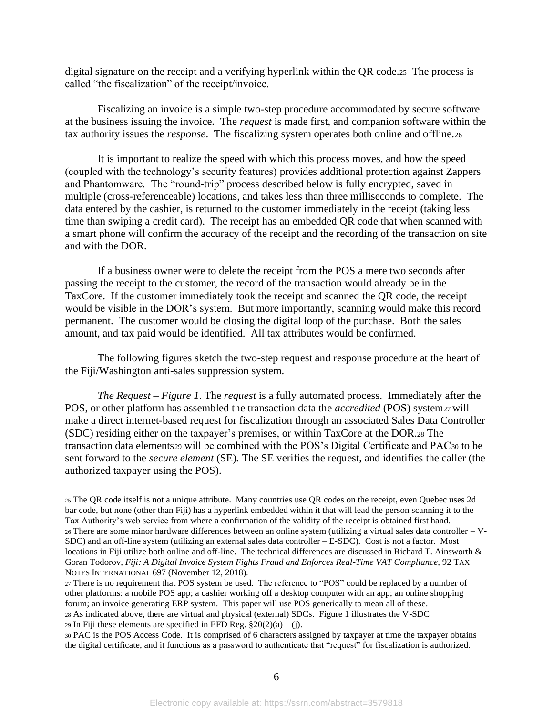digital signature on the receipt and a verifying hyperlink within the QR code.25 The process is called "the fiscalization" of the receipt/invoice.

Fiscalizing an invoice is a simple two-step procedure accommodated by secure software at the business issuing the invoice. The *request* is made first, and companion software within the tax authority issues the *response*. The fiscalizing system operates both online and offline.<sup>26</sup>

It is important to realize the speed with which this process moves, and how the speed (coupled with the technology's security features) provides additional protection against Zappers and Phantomware. The "round-trip" process described below is fully encrypted, saved in multiple (cross-referenceable) locations, and takes less than three milliseconds to complete. The data entered by the cashier, is returned to the customer immediately in the receipt (taking less time than swiping a credit card). The receipt has an embedded QR code that when scanned with a smart phone will confirm the accuracy of the receipt and the recording of the transaction on site and with the DOR.

If a business owner were to delete the receipt from the POS a mere two seconds after passing the receipt to the customer, the record of the transaction would already be in the TaxCore. If the customer immediately took the receipt and scanned the QR code, the receipt would be visible in the DOR's system. But more importantly, scanning would make this record permanent. The customer would be closing the digital loop of the purchase. Both the sales amount, and tax paid would be identified. All tax attributes would be confirmed.

The following figures sketch the two-step request and response procedure at the heart of the Fiji/Washington anti-sales suppression system.

*The Request – Figure 1*. The *request* is a fully automated process. Immediately after the POS, or other platform has assembled the transaction data the *accredited* (POS) system27 will make a direct internet-based request for fiscalization through an associated Sales Data Controller (SDC) residing either on the taxpayer's premises, or within TaxCore at the DOR.<sup>28</sup> The transaction data elements<sup>29</sup> will be combined with the POS's Digital Certificate and PAC<sup>30</sup> to be sent forward to the *secure element* (SE)*.* The SE verifies the request, and identifies the caller (the authorized taxpayer using the POS).

29 In Fiji these elements are specified in EFD Reg.  $\S 20(2)(a) - (i)$ .

<sup>30</sup> PAC is the POS Access Code. It is comprised of 6 characters assigned by taxpayer at time the taxpayer obtains the digital certificate, and it functions as a password to authenticate that "request" for fiscalization is authorized.

<sup>25</sup> The QR code itself is not a unique attribute. Many countries use QR codes on the receipt, even Quebec uses 2d bar code, but none (other than Fiji) has a hyperlink embedded within it that will lead the person scanning it to the Tax Authority's web service from where a confirmation of the validity of the receipt is obtained first hand. <sup>26</sup> There are some minor hardware differences between an online system (utilizing a virtual sales data controller – V-SDC) and an off-line system (utilizing an external sales data controller – E-SDC). Cost is not a factor. Most locations in Fiji utilize both online and off-line. The technical differences are discussed in Richard T. Ainsworth & Goran Todorov, *Fiji: A Digital Invoice System Fights Fraud and Enforces Real-Time VAT Compliance*, 92 TAX NOTES INTERNATIONAL 697 (November 12, 2018).

<sup>27</sup> There is no requirement that POS system be used. The reference to "POS" could be replaced by a number of other platforms: a mobile POS app; a cashier working off a desktop computer with an app; an online shopping forum; an invoice generating ERP system. This paper will use POS generically to mean all of these. <sup>28</sup> As indicated above, there are virtual and physical (external) SDCs. Figure 1 illustrates the V-SDC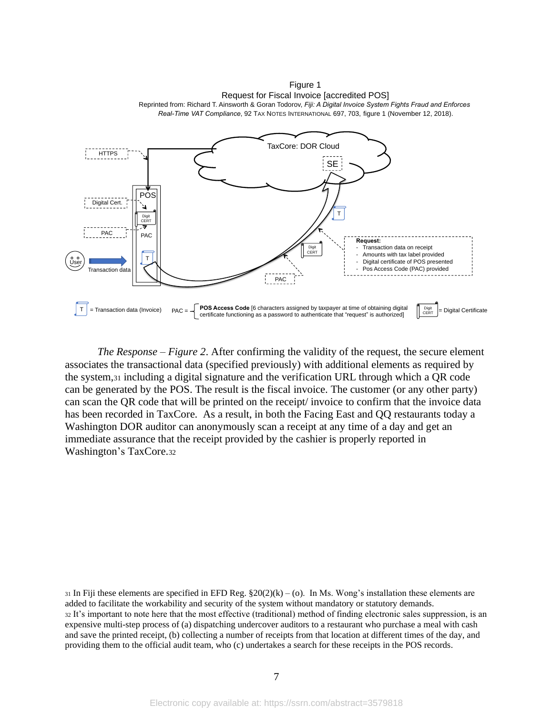POS TaxCore: DOR Cloud PAC Digital Cert. T Transaction data SE **Fransaction data (Invoice)**  $PAC =$  **POS Access Code** [6 characters assigned by taxpayer at time of obtaining digital  $\bigcup_{r \in \mathbf{r}} \mathbb{P}_{\mathbf{r}}$  |  $\bigcup_{r \in \mathbf{r}} \mathbb{P}_{\mathbf{r}}$  |  $\bigcup_{r \in \mathbf{r}} \mathbb{P}_{\mathbf{r}}$  |  $\bigcup_{r \in \mathbf{r}} \$ *Real-Time VAT Compliance*, 92 TAX NOTES INTERNATIONAL 697, 703, figure 1 (November 12, 2018). Digit CERT T T **HTTPS** Digit CERT PAC **Request:** Transaction data on receipt Amounts with tax label provided Digital certificate of POS presented Pos Access Code (PAC) provided PAC Digit CERT User certificate functioning as a password to authenticate that "request" is authorized]  $PAC =$ 

Figure 1 Request for Fiscal Invoice [accredited POS] Reprinted from: Richard T. Ainsworth & Goran Todorov, *Fiji: A Digital Invoice System Fights Fraud and Enforces* 

*The Response – Figure 2*. After confirming the validity of the request, the secure element associates the transactional data (specified previously) with additional elements as required by the system,<sup>31</sup> including a digital signature and the verification URL through which a QR code can be generated by the POS. The result is the fiscal invoice. The customer (or any other party) can scan the QR code that will be printed on the receipt/ invoice to confirm that the invoice data has been recorded in TaxCore. As a result, in both the Facing East and QQ restaurants today a Washington DOR auditor can anonymously scan a receipt at any time of a day and get an immediate assurance that the receipt provided by the cashier is properly reported in Washington's TaxCore.<sup>32</sup>

31 In Fiji these elements are specified in EFD Reg.  $\S20(2)(k) - (o)$ . In Ms. Wong's installation these elements are added to facilitate the workability and security of the system without mandatory or statutory demands. <sup>32</sup> It's important to note here that the most effective (traditional) method of finding electronic sales suppression, is an expensive multi-step process of (a) dispatching undercover auditors to a restaurant who purchase a meal with cash and save the printed receipt, (b) collecting a number of receipts from that location at different times of the day, and providing them to the official audit team, who (c) undertakes a search for these receipts in the POS records.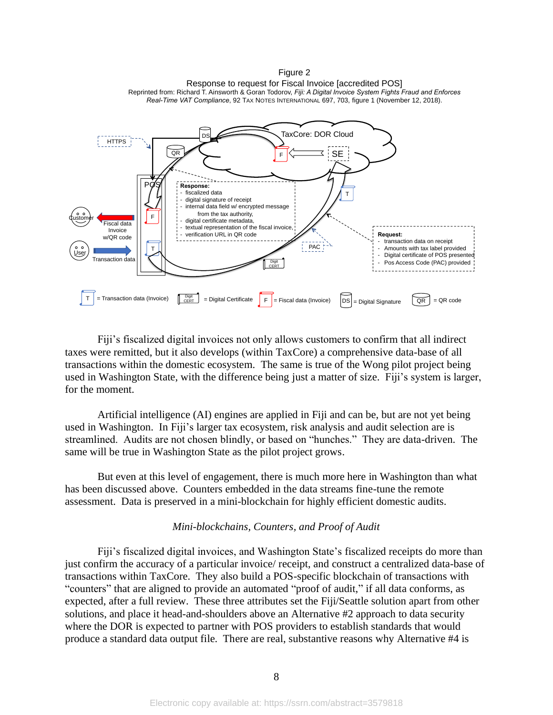POS TaxCore: DOR Cloud T Transaction dat SE  $T = T$ ransaction data (Invoice)  $\int_{CFT}$ **Digit** CERT  $=$  Digital Certificate  $\begin{vmatrix} F \end{vmatrix} =$  Fiscal data (Invoice)  $\begin{vmatrix} DS \end{vmatrix}$ QR  $=$  Digital Signature  $\overline{QR}$  = QR code iscal data Invoice w/QR code Response to request for Fiscal Invoice [accredited POS] Reprinted from: Richard T. Ainsworth & Goran Todorov, *Fiji: A Digital Invoice System Fights Fraud and Enforces Real-Time VAT Compliance*, 92 TAX NOTES INTERNATIONAL 697, 703, figure 1 (November 12, 2018). Digit T F F DSL **Response:** fiscalized data digital signature of receipt internal data field w/ encrypted message from the tax authority, digital certificate metadata. textual representation of the fiscal invoice verification URL in QR code **Request:** transaction data on receipt - Amounts with tax label provided - Digital certificate of POS presented Pos Access Code (PAC) provided HTTPS  $|$  PAC User Customer

Figure 2

Fiji's fiscalized digital invoices not only allows customers to confirm that all indirect taxes were remitted, but it also develops (within TaxCore) a comprehensive data-base of all transactions within the domestic ecosystem. The same is true of the Wong pilot project being used in Washington State, with the difference being just a matter of size. Fiji's system is larger, for the moment.

Artificial intelligence (AI) engines are applied in Fiji and can be, but are not yet being used in Washington. In Fiji's larger tax ecosystem, risk analysis and audit selection are is streamlined. Audits are not chosen blindly, or based on "hunches." They are data-driven. The same will be true in Washington State as the pilot project grows.

But even at this level of engagement, there is much more here in Washington than what has been discussed above. Counters embedded in the data streams fine-tune the remote assessment. Data is preserved in a mini-blockchain for highly efficient domestic audits.

#### *Mini-blockchains, Counters, and Proof of Audit*

Fiji's fiscalized digital invoices, and Washington State's fiscalized receipts do more than just confirm the accuracy of a particular invoice/ receipt, and construct a centralized data-base of transactions within TaxCore. They also build a POS-specific blockchain of transactions with "counters" that are aligned to provide an automated "proof of audit," if all data conforms, as expected, after a full review. These three attributes set the Fiji/Seattle solution apart from other solutions, and place it head-and-shoulders above an Alternative #2 approach to data security where the DOR is expected to partner with POS providers to establish standards that would produce a standard data output file. There are real, substantive reasons why Alternative #4 is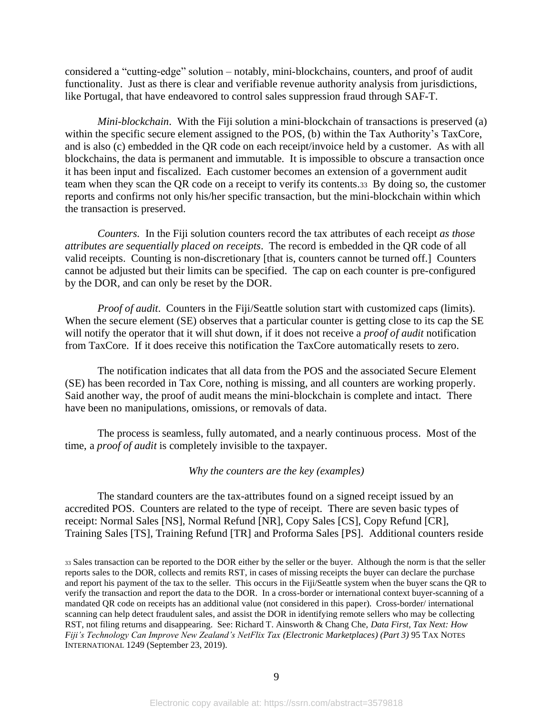considered a "cutting-edge" solution – notably, mini-blockchains, counters, and proof of audit functionality. Just as there is clear and verifiable revenue authority analysis from jurisdictions, like Portugal, that have endeavored to control sales suppression fraud through SAF-T.

*Mini-blockchain*. With the Fiji solution a mini-blockchain of transactions is preserved (a) within the specific secure element assigned to the POS, (b) within the Tax Authority's TaxCore, and is also (c) embedded in the QR code on each receipt/invoice held by a customer. As with all blockchains, the data is permanent and immutable. It is impossible to obscure a transaction once it has been input and fiscalized. Each customer becomes an extension of a government audit team when they scan the QR code on a receipt to verify its contents.33 By doing so, the customer reports and confirms not only his/her specific transaction, but the mini-blockchain within which the transaction is preserved.

*Counters.* In the Fiji solution counters record the tax attributes of each receipt *as those attributes are sequentially placed on receipts*. The record is embedded in the QR code of all valid receipts. Counting is non-discretionary [that is, counters cannot be turned off.] Counters cannot be adjusted but their limits can be specified. The cap on each counter is pre-configured by the DOR, and can only be reset by the DOR.

*Proof of audit*. Counters in the Fiji/Seattle solution start with customized caps (limits). When the secure element (SE) observes that a particular counter is getting close to its cap the SE will notify the operator that it will shut down, if it does not receive a *proof of audit* notification from TaxCore. If it does receive this notification the TaxCore automatically resets to zero.

The notification indicates that all data from the POS and the associated Secure Element (SE) has been recorded in Tax Core, nothing is missing, and all counters are working properly. Said another way, the proof of audit means the mini-blockchain is complete and intact. There have been no manipulations, omissions, or removals of data.

The process is seamless, fully automated, and a nearly continuous process. Most of the time, a *proof of audit* is completely invisible to the taxpayer.

#### *Why the counters are the key (examples)*

The standard counters are the tax-attributes found on a signed receipt issued by an accredited POS. Counters are related to the type of receipt. There are seven basic types of receipt: Normal Sales [NS], Normal Refund [NR], Copy Sales [CS], Copy Refund [CR], Training Sales [TS], Training Refund [TR] and Proforma Sales [PS]. Additional counters reside

<sup>33</sup> Sales transaction can be reported to the DOR either by the seller or the buyer. Although the norm is that the seller reports sales to the DOR, collects and remits RST, in cases of missing receipts the buyer can declare the purchase and report his payment of the tax to the seller. This occurs in the Fiji/Seattle system when the buyer scans the QR to verify the transaction and report the data to the DOR. In a cross-border or international context buyer-scanning of a mandated QR code on receipts has an additional value (not considered in this paper). Cross-border/ international scanning can help detect fraudulent sales, and assist the DOR in identifying remote sellers who may be collecting RST, not filing returns and disappearing. See: Richard T. Ainsworth & Chang Che, *Data First, Tax Next: How Fiji's Technology Can Improve New Zealand's NetFlix Tax (Electronic Marketplaces) (Part 3)* 95 TAX NOTES INTERNATIONAL 1249 (September 23, 2019).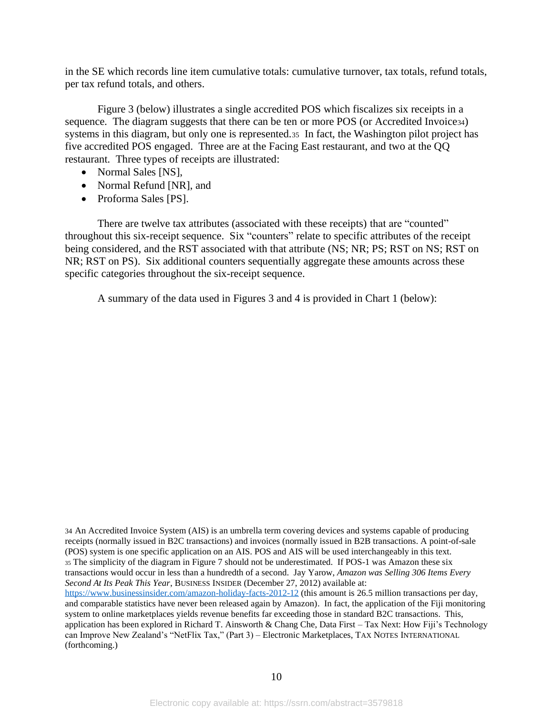in the SE which records line item cumulative totals: cumulative turnover, tax totals, refund totals, per tax refund totals, and others.

Figure 3 (below) illustrates a single accredited POS which fiscalizes six receipts in a sequence. The diagram suggests that there can be ten or more POS (or Accredited Invoice<sub>34</sub>) systems in this diagram, but only one is represented.35 In fact, the Washington pilot project has five accredited POS engaged. Three are at the Facing East restaurant, and two at the QQ restaurant. Three types of receipts are illustrated:

- Normal Sales [NS],
- Normal Refund [NR], and
- Proforma Sales [PS].

There are twelve tax attributes (associated with these receipts) that are "counted" throughout this six-receipt sequence. Six "counters" relate to specific attributes of the receipt being considered, and the RST associated with that attribute (NS; NR; PS; RST on NS; RST on NR; RST on PS). Six additional counters sequentially aggregate these amounts across these specific categories throughout the six-receipt sequence.

A summary of the data used in Figures 3 and 4 is provided in Chart 1 (below):

34 An Accredited Invoice System (AIS) is an umbrella term covering devices and systems capable of producing receipts (normally issued in B2C transactions) and invoices (normally issued in B2B transactions. A point-of-sale (POS) system is one specific application on an AIS. POS and AIS will be used interchangeably in this text. <sup>35</sup> The simplicity of the diagram in Figure 7 should not be underestimated. If POS-1 was Amazon these six transactions would occur in less than a hundredth of a second. Jay Yarow, *Amazon was Selling 306 Items Every Second At Its Peak This Year*, BUSINESS INSIDER (December 27, 2012) available at: <https://www.businessinsider.com/amazon-holiday-facts-2012-12> (this amount is 26.5 million transactions per day, and comparable statistics have never been released again by Amazon). In fact, the application of the Fiji monitoring system to online marketplaces yields revenue benefits far exceeding those in standard B2C transactions. This, application has been explored in Richard T. Ainsworth & Chang Che, Data First – Tax Next: How Fiji's Technology can Improve New Zealand's "NetFlix Tax," (Part 3) – Electronic Marketplaces, TAX NOTES INTERNATIONAL (forthcoming.)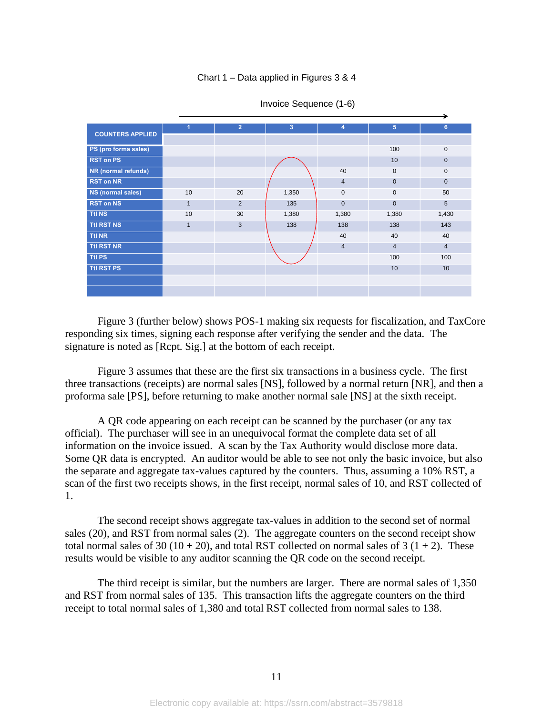#### Chart 1 – Data applied in Figures 3 & 4

| <b>COUNTERS APPLIED</b> | 1              | $\overline{2}$ | 3     | 4              | $5\phantom{.0}$ | 6               |
|-------------------------|----------------|----------------|-------|----------------|-----------------|-----------------|
|                         |                |                |       |                |                 |                 |
| PS (pro forma sales)    |                |                |       |                | 100             | $\mathbf 0$     |
| <b>RST on PS</b>        |                |                |       |                | 10              | $\mathbf 0$     |
| NR (normal refunds)     |                |                |       | 40             | $\mathbf 0$     | $\mathbf 0$     |
| <b>RST on NR</b>        |                |                |       | $\overline{4}$ | $\mathbf{0}$    | $\mathbf{0}$    |
| NS (normal sales)       | 10             | 20             | 1,350 | $\mathbf 0$    | $\mathbf{0}$    | 50              |
| <b>RST on NS</b>        | $\overline{1}$ | 2              | 135   | $\overline{0}$ | $\mathbf{0}$    | $5\phantom{.0}$ |
| <b>Ttl NS</b>           | 10             | 30             | 1,380 | 1,380          | 1,380           | 1,430           |
| <b>Ttl RST NS</b>       | $\mathbf{1}$   | 3              | 138   | 138            | 138             | 143             |
| <b>Ttl NR</b>           |                |                |       | 40             | 40              | 40              |
| <b>Ttl RST NR</b>       |                |                |       | $\overline{4}$ | $\overline{4}$  | $\overline{4}$  |
| <b>Ttl PS</b>           |                |                |       |                | 100             | 100             |
| <b>Ttl RST PS</b>       |                |                |       |                | 10              | 10              |
|                         |                |                |       |                |                 |                 |
|                         |                |                |       |                |                 |                 |

#### Invoice Sequence (1-6)

Figure 3 (further below) shows POS-1 making six requests for fiscalization, and TaxCore responding six times, signing each response after verifying the sender and the data. The signature is noted as [Rcpt. Sig.] at the bottom of each receipt.

Figure 3 assumes that these are the first six transactions in a business cycle. The first three transactions (receipts) are normal sales [NS], followed by a normal return [NR], and then a proforma sale [PS], before returning to make another normal sale [NS] at the sixth receipt.

A QR code appearing on each receipt can be scanned by the purchaser (or any tax official). The purchaser will see in an unequivocal format the complete data set of all information on the invoice issued. A scan by the Tax Authority would disclose more data. Some QR data is encrypted. An auditor would be able to see not only the basic invoice, but also the separate and aggregate tax-values captured by the counters. Thus, assuming a 10% RST, a scan of the first two receipts shows, in the first receipt, normal sales of 10, and RST collected of 1.

The second receipt shows aggregate tax-values in addition to the second set of normal sales (20), and RST from normal sales (2). The aggregate counters on the second receipt show total normal sales of 30 (10 + 20), and total RST collected on normal sales of 3 (1 + 2). These results would be visible to any auditor scanning the QR code on the second receipt.

The third receipt is similar, but the numbers are larger. There are normal sales of 1,350 and RST from normal sales of 135. This transaction lifts the aggregate counters on the third receipt to total normal sales of 1,380 and total RST collected from normal sales to 138.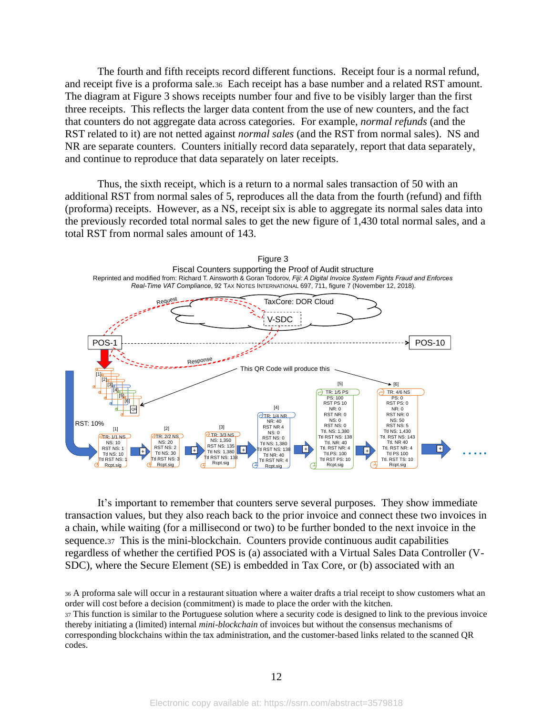The fourth and fifth receipts record different functions. Receipt four is a normal refund, and receipt five is a proforma sale.36 Each receipt has a base number and a related RST amount. The diagram at Figure 3 shows receipts number four and five to be visibly larger than the first three receipts. This reflects the larger data content from the use of new counters, and the fact that counters do not aggregate data across categories. For example, *normal refunds* (and the RST related to it) are not netted against *normal sales* (and the RST from normal sales). NS and NR are separate counters. Counters initially record data separately, report that data separately, and continue to reproduce that data separately on later receipts.

Thus, the sixth receipt, which is a return to a normal sales transaction of 50 with an additional RST from normal sales of 5, reproduces all the data from the fourth (refund) and fifth (proforma) receipts. However, as a NS, receipt six is able to aggregate its normal sales data into the previously recorded total normal sales to get the new figure of 1,430 total normal sales, and a total RST from normal sales amount of 143.



It's important to remember that counters serve several purposes. They show immediate transaction values, but they also reach back to the prior invoice and connect these two invoices in a chain, while waiting (for a millisecond or two) to be further bonded to the next invoice in the sequence.37 This is the mini-blockchain. Counters provide continuous audit capabilities regardless of whether the certified POS is (a) associated with a Virtual Sales Data Controller (V-SDC), where the Secure Element (SE) is embedded in Tax Core, or (b) associated with an

<sup>36</sup> A proforma sale will occur in a restaurant situation where a waiter drafts a trial receipt to show customers what an order will cost before a decision (commitment) is made to place the order with the kitchen. <sup>37</sup> This function is similar to the Portuguese solution where a security code is designed to link to the previous invoice thereby initiating a (limited) internal *mini-blockchain* of invoices but without the consensus mechanisms of corresponding blockchains within the tax administration, and the customer-based links related to the scanned QR codes.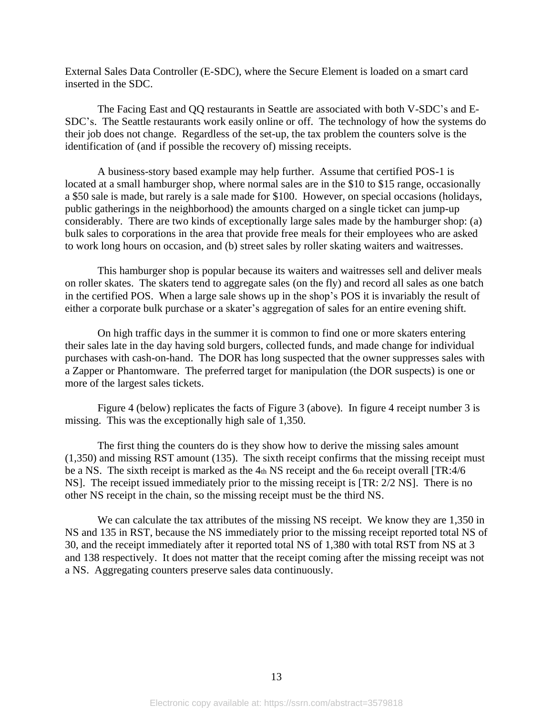External Sales Data Controller (E-SDC), where the Secure Element is loaded on a smart card inserted in the SDC.

The Facing East and QQ restaurants in Seattle are associated with both V-SDC's and E-SDC's. The Seattle restaurants work easily online or off. The technology of how the systems do their job does not change. Regardless of the set-up, the tax problem the counters solve is the identification of (and if possible the recovery of) missing receipts.

A business-story based example may help further. Assume that certified POS-1 is located at a small hamburger shop, where normal sales are in the \$10 to \$15 range, occasionally a \$50 sale is made, but rarely is a sale made for \$100. However, on special occasions (holidays, public gatherings in the neighborhood) the amounts charged on a single ticket can jump-up considerably. There are two kinds of exceptionally large sales made by the hamburger shop: (a) bulk sales to corporations in the area that provide free meals for their employees who are asked to work long hours on occasion, and (b) street sales by roller skating waiters and waitresses.

This hamburger shop is popular because its waiters and waitresses sell and deliver meals on roller skates. The skaters tend to aggregate sales (on the fly) and record all sales as one batch in the certified POS. When a large sale shows up in the shop's POS it is invariably the result of either a corporate bulk purchase or a skater's aggregation of sales for an entire evening shift.

On high traffic days in the summer it is common to find one or more skaters entering their sales late in the day having sold burgers, collected funds, and made change for individual purchases with cash-on-hand. The DOR has long suspected that the owner suppresses sales with a Zapper or Phantomware. The preferred target for manipulation (the DOR suspects) is one or more of the largest sales tickets.

Figure 4 (below) replicates the facts of Figure 3 (above). In figure 4 receipt number 3 is missing. This was the exceptionally high sale of 1,350.

The first thing the counters do is they show how to derive the missing sales amount (1,350) and missing RST amount (135). The sixth receipt confirms that the missing receipt must be a NS. The sixth receipt is marked as the 4th NS receipt and the 6th receipt overall [TR:4/6] NS]. The receipt issued immediately prior to the missing receipt is [TR: 2/2 NS]. There is no other NS receipt in the chain, so the missing receipt must be the third NS.

We can calculate the tax attributes of the missing NS receipt. We know they are 1,350 in NS and 135 in RST, because the NS immediately prior to the missing receipt reported total NS of 30, and the receipt immediately after it reported total NS of 1,380 with total RST from NS at 3 and 138 respectively. It does not matter that the receipt coming after the missing receipt was not a NS. Aggregating counters preserve sales data continuously.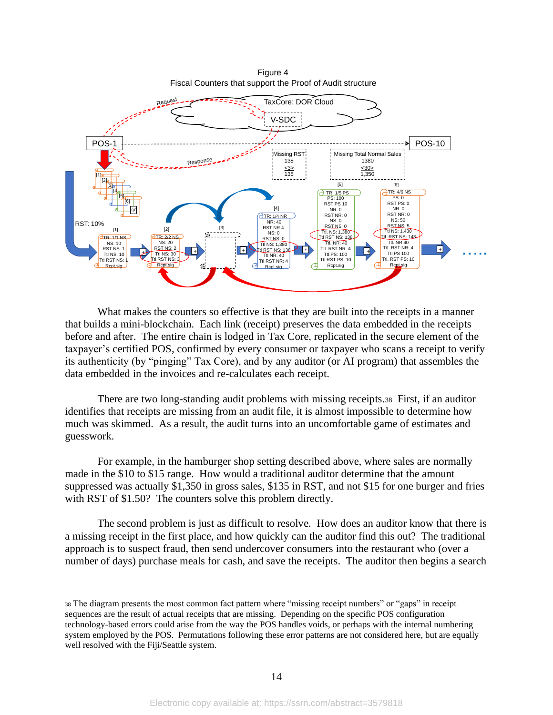Figure 4 Fiscal Counters that support the Proof of Audit structure



What makes the counters so effective is that they are built into the receipts in a manner that builds a mini-blockchain. Each link (receipt) preserves the data embedded in the receipts before and after. The entire chain is lodged in Tax Core, replicated in the secure element of the taxpayer's certified POS, confirmed by every consumer or taxpayer who scans a receipt to verify its authenticity (by "pinging" Tax Core), and by any auditor (or AI program) that assembles the data embedded in the invoices and re-calculates each receipt.

There are two long-standing audit problems with missing receipts.38 First, if an auditor identifies that receipts are missing from an audit file, it is almost impossible to determine how much was skimmed. As a result, the audit turns into an uncomfortable game of estimates and guesswork.

For example, in the hamburger shop setting described above, where sales are normally made in the \$10 to \$15 range. How would a traditional auditor determine that the amount suppressed was actually \$1,350 in gross sales, \$135 in RST, and not \$15 for one burger and fries with RST of \$1.50? The counters solve this problem directly.

The second problem is just as difficult to resolve. How does an auditor know that there is a missing receipt in the first place, and how quickly can the auditor find this out? The traditional approach is to suspect fraud, then send undercover consumers into the restaurant who (over a number of days) purchase meals for cash, and save the receipts. The auditor then begins a search

<sup>38</sup> The diagram presents the most common fact pattern where "missing receipt numbers" or "gaps" in receipt sequences are the result of actual receipts that are missing. Depending on the specific POS configuration technology-based errors could arise from the way the POS handles voids, or perhaps with the internal numbering system employed by the POS. Permutations following these error patterns are not considered here, but are equally well resolved with the Fiji/Seattle system.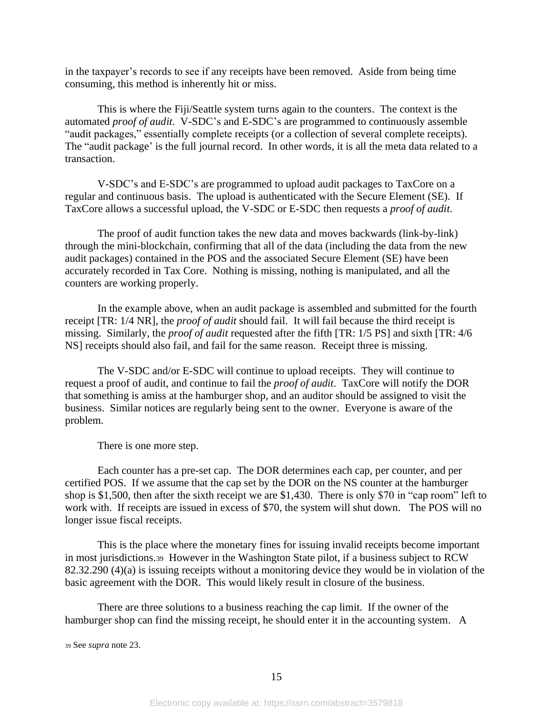in the taxpayer's records to see if any receipts have been removed. Aside from being time consuming, this method is inherently hit or miss.

This is where the Fiji/Seattle system turns again to the counters. The context is the automated *proof of audit*. V-SDC's and E-SDC's are programmed to continuously assemble "audit packages," essentially complete receipts (or a collection of several complete receipts). The "audit package' is the full journal record. In other words, it is all the meta data related to a transaction.

V-SDC's and E-SDC's are programmed to upload audit packages to TaxCore on a regular and continuous basis. The upload is authenticated with the Secure Element (SE). If TaxCore allows a successful upload, the V-SDC or E-SDC then requests a *proof of audit*.

The proof of audit function takes the new data and moves backwards (link-by-link) through the mini-blockchain, confirming that all of the data (including the data from the new audit packages) contained in the POS and the associated Secure Element (SE) have been accurately recorded in Tax Core. Nothing is missing, nothing is manipulated, and all the counters are working properly.

In the example above, when an audit package is assembled and submitted for the fourth receipt [TR: 1/4 NR], the *proof of audit* should fail. It will fail because the third receipt is missing. Similarly, the *proof of audit* requested after the fifth [TR: 1/5 PS] and sixth [TR: 4/6 NS] receipts should also fail, and fail for the same reason. Receipt three is missing.

The V-SDC and/or E-SDC will continue to upload receipts. They will continue to request a proof of audit, and continue to fail the *proof of audit*. TaxCore will notify the DOR that something is amiss at the hamburger shop, and an auditor should be assigned to visit the business. Similar notices are regularly being sent to the owner. Everyone is aware of the problem.

There is one more step.

Each counter has a pre-set cap. The DOR determines each cap, per counter, and per certified POS. If we assume that the cap set by the DOR on the NS counter at the hamburger shop is \$1,500, then after the sixth receipt we are \$1,430. There is only \$70 in "cap room" left to work with. If receipts are issued in excess of \$70, the system will shut down. The POS will no longer issue fiscal receipts.

This is the place where the monetary fines for issuing invalid receipts become important in most jurisdictions.39 However in the Washington State pilot, if a business subject to RCW 82.32.290 (4)(a) is issuing receipts without a monitoring device they would be in violation of the basic agreement with the DOR. This would likely result in closure of the business.

There are three solutions to a business reaching the cap limit. If the owner of the hamburger shop can find the missing receipt, he should enter it in the accounting system. A

<sup>39</sup> See *supra* note [23.](#page-5-0)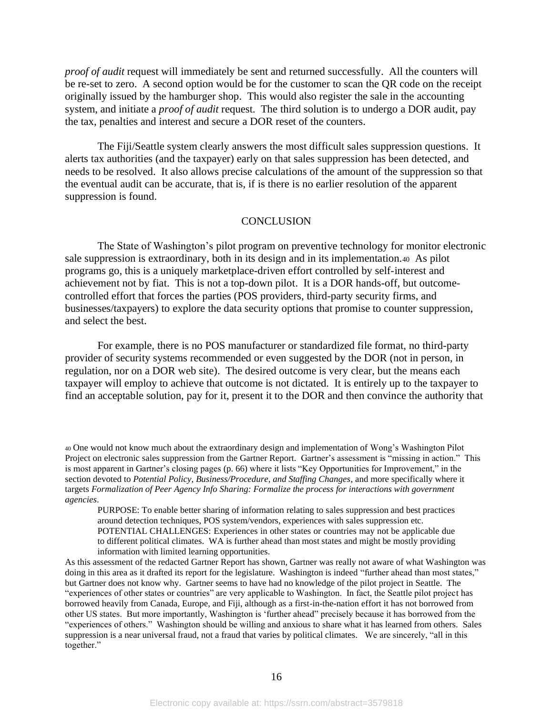*proof of audit* request will immediately be sent and returned successfully. All the counters will be re-set to zero. A second option would be for the customer to scan the QR code on the receipt originally issued by the hamburger shop. This would also register the sale in the accounting system, and initiate a *proof of audit* request. The third solution is to undergo a DOR audit, pay the tax, penalties and interest and secure a DOR reset of the counters.

The Fiji/Seattle system clearly answers the most difficult sales suppression questions. It alerts tax authorities (and the taxpayer) early on that sales suppression has been detected, and needs to be resolved. It also allows precise calculations of the amount of the suppression so that the eventual audit can be accurate, that is, if is there is no earlier resolution of the apparent suppression is found.

#### **CONCLUSION**

The State of Washington's pilot program on preventive technology for monitor electronic sale suppression is extraordinary, both in its design and in its implementation.40 As pilot programs go, this is a uniquely marketplace-driven effort controlled by self-interest and achievement not by fiat. This is not a top-down pilot. It is a DOR hands-off, but outcomecontrolled effort that forces the parties (POS providers, third-party security firms, and businesses/taxpayers) to explore the data security options that promise to counter suppression, and select the best.

For example, there is no POS manufacturer or standardized file format, no third-party provider of security systems recommended or even suggested by the DOR (not in person, in regulation, nor on a DOR web site). The desired outcome is very clear, but the means each taxpayer will employ to achieve that outcome is not dictated. It is entirely up to the taxpayer to find an acceptable solution, pay for it, present it to the DOR and then convince the authority that

<sup>40</sup> One would not know much about the extraordinary design and implementation of Wong's Washington Pilot Project on electronic sales suppression from the Gartner Report. Gartner's assessment is "missing in action." This is most apparent in Gartner's closing pages (p. 66) where it lists "Key Opportunities for Improvement," in the section devoted to *Potential Policy, Business/Procedure, and Staffing Changes*, and more specifically where it targets *Formalization of Peer Agency Info Sharing: Formalize the process for interactions with government agencies*.

PURPOSE: To enable better sharing of information relating to sales suppression and best practices around detection techniques, POS system/vendors, experiences with sales suppression etc. POTENTIAL CHALLENGES: Experiences in other states or countries may not be applicable due to different political climates. WA is further ahead than most states and might be mostly providing information with limited learning opportunities.

As this assessment of the redacted Gartner Report has shown, Gartner was really not aware of what Washington was doing in this area as it drafted its report for the legislature. Washington is indeed "further ahead than most states," but Gartner does not know why. Gartner seems to have had no knowledge of the pilot project in Seattle. The "experiences of other states or countries" are very applicable to Washington. In fact, the Seattle pilot project has borrowed heavily from Canada, Europe, and Fiji, although as a first-in-the-nation effort it has not borrowed from other US states. But more importantly, Washington is 'further ahead" precisely because it has borrowed from the "experiences of others." Washington should be willing and anxious to share what it has learned from others. Sales suppression is a near universal fraud, not a fraud that varies by political climates. We are sincerely, "all in this together."